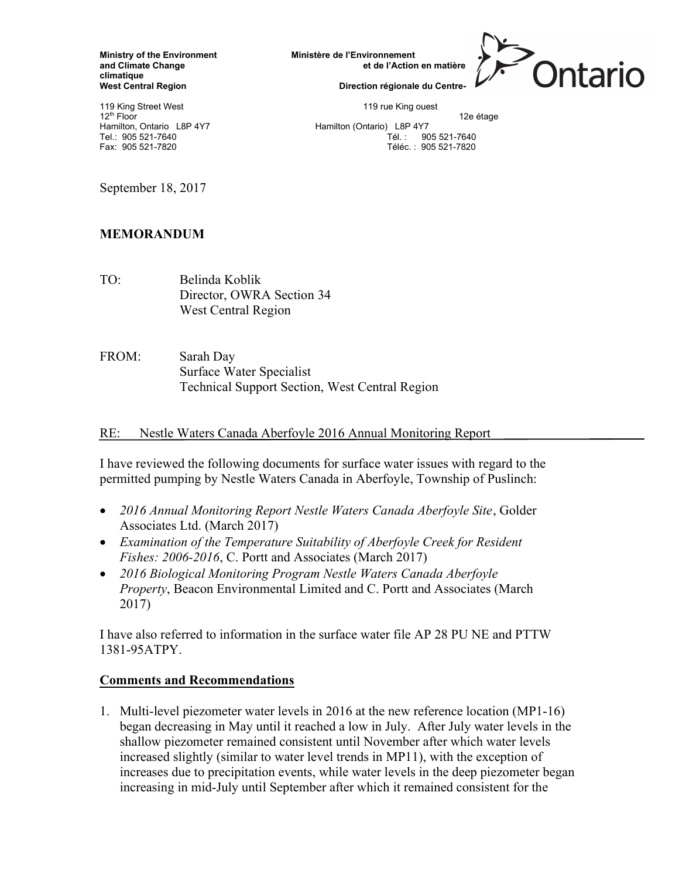climatique<br>West Central Region

119 King Street West 119 King ouest 119 King ouest 12<sup>th</sup> Floor 12e étage<br>
Hamilton, Ontario L8P 4Y7 **12h Edward Hamilton (Ontario)** L8P 4Y7 12e étage

Ministry of the Environment Ministère de l'Environnement<br>and Climate Change et de l'Action

Direction régionale du Centre-

Hamilton (Ontario) L8P 4Y7 Tel.: 905 521-7640 Tél. : 905 521-7640 Fax: 905 521-7820 Téléc. : 905 521-7820

September 18, 2017

## MEMORANDUM

TO: Belinda Koblik Director, OWRA Section 34 West Central Region

FROM: Sarah Day Surface Water Specialist Technical Support Section, West Central Region

RE: Nestle Waters Canada Aberfoyle 2016 Annual Monitoring Report

I have reviewed the following documents for surface water issues with regard to the permitted pumping by Nestle Waters Canada in Aberfoyle, Township of Puslinch:

- 2016 Annual Monitoring Report Nestle Waters Canada Aberfoyle Site, Golder Associates Ltd. (March 2017)
- Examination of the Temperature Suitability of Aberfoyle Creek for Resident Fishes: 2006-2016, C. Portt and Associates (March 2017)
- 2016 Biological Monitoring Program Nestle Waters Canada Aberfoyle Property, Beacon Environmental Limited and C. Portt and Associates (March 2017)

I have also referred to information in the surface water file AP 28 PU NE and PTTW 1381-95ATPY.

## Comments and Recommendations

1. Multi-level piezometer water levels in 2016 at the new reference location (MP1-16) began decreasing in May until it reached a low in July. After July water levels in the shallow piezometer remained consistent until November after which water levels increased slightly (similar to water level trends in MP11), with the exception of increases due to precipitation events, while water levels in the deep piezometer began increasing in mid-July until September after which it remained consistent for the

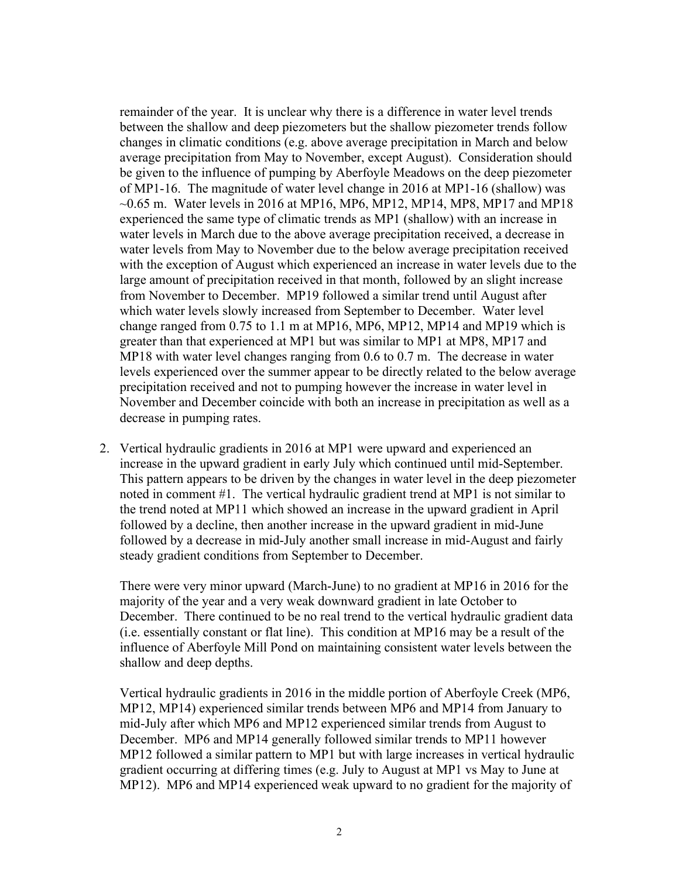remainder of the year. It is unclear why there is a difference in water level trends between the shallow and deep piezometers but the shallow piezometer trends follow changes in climatic conditions (e.g. above average precipitation in March and below average precipitation from May to November, except August). Consideration should be given to the influence of pumping by Aberfoyle Meadows on the deep piezometer of MP1-16. The magnitude of water level change in 2016 at MP1-16 (shallow) was  $\sim$ 0.65 m. Water levels in 2016 at MP16, MP6, MP12, MP14, MP8, MP17 and MP18 experienced the same type of climatic trends as MP1 (shallow) with an increase in water levels in March due to the above average precipitation received, a decrease in water levels from May to November due to the below average precipitation received with the exception of August which experienced an increase in water levels due to the large amount of precipitation received in that month, followed by an slight increase from November to December. MP19 followed a similar trend until August after which water levels slowly increased from September to December. Water level change ranged from 0.75 to 1.1 m at MP16, MP6, MP12, MP14 and MP19 which is greater than that experienced at MP1 but was similar to MP1 at MP8, MP17 and MP18 with water level changes ranging from 0.6 to 0.7 m. The decrease in water levels experienced over the summer appear to be directly related to the below average precipitation received and not to pumping however the increase in water level in November and December coincide with both an increase in precipitation as well as a decrease in pumping rates.

2. Vertical hydraulic gradients in 2016 at MP1 were upward and experienced an increase in the upward gradient in early July which continued until mid-September. This pattern appears to be driven by the changes in water level in the deep piezometer noted in comment #1. The vertical hydraulic gradient trend at MP1 is not similar to the trend noted at MP11 which showed an increase in the upward gradient in April followed by a decline, then another increase in the upward gradient in mid-June followed by a decrease in mid-July another small increase in mid-August and fairly steady gradient conditions from September to December.

There were very minor upward (March-June) to no gradient at MP16 in 2016 for the majority of the year and a very weak downward gradient in late October to December. There continued to be no real trend to the vertical hydraulic gradient data (i.e. essentially constant or flat line). This condition at MP16 may be a result of the influence of Aberfoyle Mill Pond on maintaining consistent water levels between the shallow and deep depths.

Vertical hydraulic gradients in 2016 in the middle portion of Aberfoyle Creek (MP6, MP12, MP14) experienced similar trends between MP6 and MP14 from January to mid-July after which MP6 and MP12 experienced similar trends from August to December. MP6 and MP14 generally followed similar trends to MP11 however MP12 followed a similar pattern to MP1 but with large increases in vertical hydraulic gradient occurring at differing times (e.g. July to August at MP1 vs May to June at MP12). MP6 and MP14 experienced weak upward to no gradient for the majority of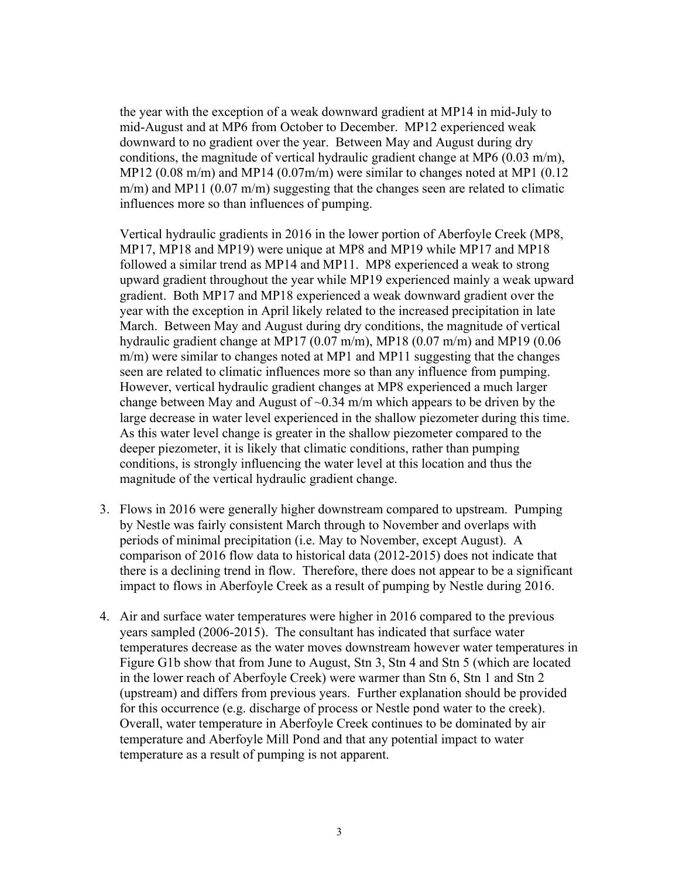the year with the exception of a weak downward gradient at MP14 in mid-July to mid-August and at MP6 from October to December. MP12 experienced weak downward to no gradient over the year. Between May and August during dry conditions, the magnitude of vertical hydraulic gradient change at MP6 (0.03 m/m), MP12 (0.08 m/m) and MP14 (0.07m/m) were similar to changes noted at MP1 (0.12 m/m) and MP11 (0.07 m/m) suggesting that the changes seen are related to climatic influences more so than influences of pumping.

Vertical hydraulic gradients in 2016 in the lower portion of Aberfoyle Creek (MP8, MP17, MP18 and MP19) were unique at MP8 and MP19 while MP17 and MP18 followed a similar trend as MP14 and MP11. MP8 experienced a weak to strong upward gradient throughout the year while MP19 experienced mainly a weak upward gradient. Both MP17 and MP18 experienced a weak downward gradient over the year with the exception in April likely related to the increased precipitation in late March. Between May and August during dry conditions, the magnitude of vertical hydraulic gradient change at MP17 (0.07 m/m), MP18 (0.07 m/m) and MP19 (0.06 m/m) were similar to changes noted at MP1 and MP11 suggesting that the changes seen are related to climatic influences more so than any influence from pumping. However, vertical hydraulic gradient changes at MP8 experienced a much larger change between May and August of  $\sim 0.34$  m/m which appears to be driven by the large decrease in water level experienced in the shallow piezometer during this time. As this water level change is greater in the shallow piezometer compared to the deeper piezometer, it is likely that climatic conditions, rather than pumping conditions, is strongly influencing the water level at this location and thus the magnitude of the vertical hydraulic gradient change.

- 3. Flows in 2016 were generally higher downstream compared to upstream. Pumping by Nestle was fairly consistent March through to November and overlaps with periods of minimal precipitation (i.e. May to November, except August). A comparison of 2016 flow data to historical data (2012-2015) does not indicate that there is a declining trend in flow. Therefore, there does not appear to be a significant impact to flows in Aberfoyle Creek as a result of pumping by Nestle during 2016.
- 4. Air and surface water temperatures were higher in 2016 compared to the previous years sampled (2006-2015). The consultant has indicated that surface water temperatures decrease as the water moves downstream however water temperatures in Figure G1b show that from June to August, Stn 3, Stn 4 and Stn 5 (which are located in the lower reach of Aberfoyle Creek) were warmer than Stn 6, Stn 1 and Stn 2 (upstream) and differs from previous years. Further explanation should be provided for this occurrence (e.g. discharge of process or Nestle pond water to the creek). Overall, water temperature in Aberfoyle Creek continues to be dominated by air temperature and Aberfoyle Mill Pond and that any potential impact to water temperature as a result of pumping is not apparent.